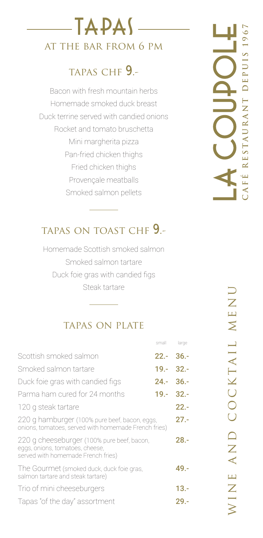## TAPAS at the bar from 6 pm

## tapas chf 9.-

Bacon with fresh mountain herbs Homemade smoked duck breast Duck terrine served with candied onions Rocket and tomato bruschetta Mini margherita pizza Pan-fried chicken thighs Fried chicken thighs Provençale meatballs Smoked salmon pellets

# **café restaurant depuis 1967**FE RESTAURANT DEPUIS 196

## tapas on toast chf 9.-

Homemade Scottish smoked salmon Smoked salmon tartare Duck foie gras with candied figs Steak tartare

### tapas on plate

|                                                                                                                     | small         | large   |
|---------------------------------------------------------------------------------------------------------------------|---------------|---------|
| Scottish smoked salmon                                                                                              | $22.-36.-$    |         |
| Smoked salmon tartare                                                                                               | $19. - 32. -$ |         |
| Duck foie gras with candied figs                                                                                    | $24.-36.-$    |         |
| Parma ham cured for 24 months                                                                                       | $19. - 32. -$ |         |
| 120 g steak tartare                                                                                                 |               | $22 -$  |
| 220 g hamburger (100% pure beef, bacon, eggs,<br>onions, tomatoes, served with homemade French fries)               |               | $27 -$  |
| 220 g cheeseburger (100% pure beef, bacon,<br>eggs, onions, tomatoes, cheese,<br>served with homemade French fries) |               | $28. -$ |
| The Gourmet (smoked duck, duck foie gras,<br>salmon tartare and steak tartare)                                      |               | 49.-    |
| Trio of mini cheeseburgers                                                                                          |               | $13. -$ |
| Tapas "of the day" assortment                                                                                       |               | $29. -$ |
|                                                                                                                     |               |         |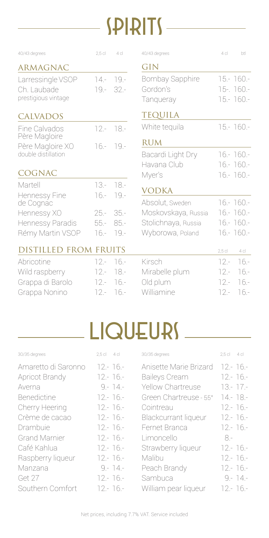## $S$ PIRITS

| 40/43 degrees                                                     | $2,5$ cl                             | 4c                                   | 40/43 degrees                                                                     | 4 <sub>c</sub>                       | btl                                                          |
|-------------------------------------------------------------------|--------------------------------------|--------------------------------------|-----------------------------------------------------------------------------------|--------------------------------------|--------------------------------------------------------------|
| <b>ARMAGNAC</b>                                                   |                                      |                                      | GIN                                                                               |                                      |                                                              |
| Larressingle VSOP<br>Ch. Laubade<br>prestigious vintage           | $14 -$<br>$19 -$                     | $19 -$<br>$32 -$                     | <b>Bombay Sapphire</b><br>Gordon's<br>Tanqueray                                   |                                      | $15 - 160 -$<br>15-. 160.-<br>15 .- 160 .-                   |
| <b>CALVADOS</b>                                                   |                                      |                                      | <b>TEQUILA</b>                                                                    |                                      |                                                              |
| Fine Calvados                                                     | $12 -$                               | $18 -$                               | White tequila                                                                     |                                      | $15 - 160 -$                                                 |
| Père Magloire<br>Père Magloire XO<br>double distillation          | $16 -$                               | $19 -$                               | <b>RUM</b><br>Bacardi Light Dry                                                   |                                      | $16 - 160 -$                                                 |
| <b>COGNAC</b>                                                     |                                      |                                      | Havana Club<br>Myer's                                                             |                                      | $16 - 160 -$<br>$16 - 160 -$                                 |
| Martell<br>Hennessy Fine                                          | $13 -$<br>$16 -$                     | $18 -$<br>$19 -$                     | <b>VODKA</b>                                                                      |                                      |                                                              |
| de Cognac<br>Hennessy XO<br>Hennessy Paradis                      | $25 -$<br>$55 -$                     | $35 -$<br>$85 -$                     | Absolut, Sweden<br>Moskovskaya, Russia<br>Stolichnaya, Russia<br>Wyborowa, Poland |                                      | $16 - 160 -$<br>16 .- 160 .-<br>16 .- 160 .-<br>$16 - 160 -$ |
| Rémy Martin VSOP<br><b>DISTILLED FROM FRUITS</b>                  | $16 -$                               | $19 -$                               |                                                                                   | $2,5$ cl                             | 4 cl                                                         |
| Abricotine<br>Wild raspberry<br>Grappa di Barolo<br>Grappa Nonino | $12 -$<br>$12 -$<br>$12 -$<br>$12 -$ | $16 -$<br>$18 -$<br>$16 -$<br>$16 -$ | Kirsch<br>Mirabelle plum<br>Old plum<br>Williamine                                | $12 -$<br>$12 -$<br>$12 -$<br>$12 -$ | $16 -$<br>$16 -$<br>$16 -$<br>$16 -$                         |

## LIQUEURS

| $2.5$ cl    |
|-------------|
| $12 - 16 -$ |
| $12 - 16 -$ |
| $13 - 17 -$ |
| $14 - 18 -$ |
| $12 - 16 -$ |
| $12 - 16 -$ |
| $12 - 16 -$ |
| 8.-         |
| $12 - 16 -$ |
| $12 - 16 -$ |
| $12 - 16 -$ |
| $9 - 14 -$  |
| $12 - 16 -$ |
|             |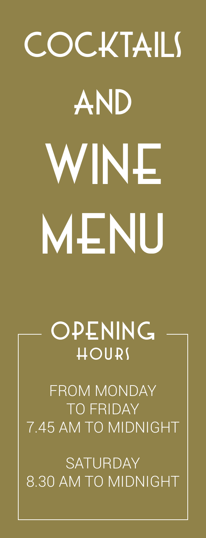## **COCKTAILS AND** wine MENU

opening hours

FROM MONDAY TO FRIDAY 7.45 AM TO MIDNIGHT

**SATURDAY** 8.30 AM TO MIDNIGHT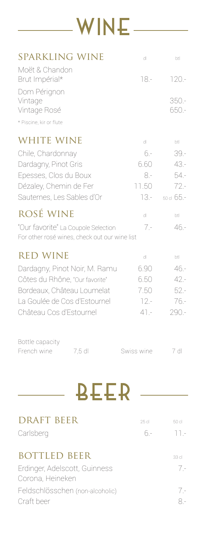

| <b>SPARKLING WINE</b>                                                                | dl            | btl              |
|--------------------------------------------------------------------------------------|---------------|------------------|
| Moët & Chandon<br>Brut Impérial*                                                     | $18 -$        | $120 -$          |
| Dom Pérignon<br>Vintage<br>Vintage Rosé<br>* Piscine, kir or flute                   |               | $350 -$<br>650.- |
|                                                                                      |               |                  |
| <b>WHITE WINE</b>                                                                    | dl            | btl              |
| Chile, Chardonnay                                                                    | $6 -$         | $39 -$           |
| Dardagny, Pinot Gris                                                                 | 6.60<br>$8 -$ | 43.-<br>54.-     |
| Epesses, Clos du Boux<br>Dézaley, Chemin de Fer                                      | 11.50         | $72 -$           |
| Sauternes, Les Sables d'Or                                                           | 13.-          | 50 cl 65.-       |
| ROSÉ WINE                                                                            | dl            | btl              |
| "Our favorite" La Coupole Selection<br>For other rosé wines, check out our wine list | $7 -$         | $46 -$           |
| <b>RED WINE</b>                                                                      | dl            | btl              |
| Dardagny, Pinot Noir, M. Ramu                                                        | 6.90          | $46 -$           |
| Côtes du Rhône, "Our favorite"                                                       | 6.50          | $42 -$           |
| Bordeaux, Château Loumelat                                                           | 7.50          | $52 -$           |
| La Goulée de Cos d'Estournel                                                         | $12. -$       | $76 -$           |
| Château Cos d'Estournel                                                              | $41 -$        | $290 -$          |
| Bottle capacity                                                                      |               |                  |
| French wine<br>7,5 dl                                                                | Swiss wine    | 7 <sub>d</sub>   |
|                                                                                      |               |                  |
| <b>BEER</b>                                                                          |               |                  |
| <b>DRAFT BEER</b>                                                                    | 25 cl         | 50 cl            |
| Carlsberg                                                                            | 6.-           | $11 -$           |
| <b>BOTTLED BEER</b>                                                                  |               | 33 cl            |
| Erdinger, Adelscott, Guinness<br>Corona, Heineken                                    |               | $7 -$            |
| Feldschlösschen (non-alcoholic)                                                      |               | $7 -$            |
| Craft beer                                                                           |               | $8 -$            |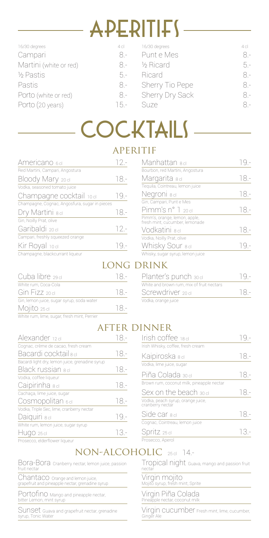## $APERITIFY -$

| 16/30 degrees          | 4 cl   | 16/30 degrees   | 4 cl |
|------------------------|--------|-----------------|------|
| Campari                | 8 -    | Punt e Mes      | 8 -  |
| Martini (white or red) | 8 -    | 1/2 Ricard      | 5 -  |
| 1/2 Pastis             | $5 -$  | Ricard          | 8 -  |
| Pastis                 | 8.-    | Sherry Tio Pepe | 8 -  |
| Porto (white or red)   | 8 -    | Sherry Dry Sack | 8 -  |
| Porto (20 years)       | $15 -$ | Suze            | 8 -  |
|                        |        |                 |      |

## cocktails

#### **APERITIF**

| Americano 6dl                                 | $\frac{1}{2}$ – |
|-----------------------------------------------|-----------------|
| Red Martini, Campari, Angostura               |                 |
| Bloody Mary 20 cl                             | 18.-            |
| Vodka, seasoned tomato juice                  |                 |
| Champagne cocktail 10 cl                      | $TQ -$          |
| Champagne, Cognac, Angosfura, sugar in pieces |                 |
| Dry Martini <sub>8 cl</sub>                   | 18.-            |
| Gin, Noilly Prat, olive                       |                 |
| Garibaldi 20 cl                               | $12 -$          |
| Campari, freshly squeezed orange              |                 |
| Kir Royal 10 cl                               | 19 -            |
| Champagne, blackcurrant liqueur               |                 |

| Cuba libre 29 cl                            | 18- |
|---------------------------------------------|-----|
| White rum, Coca-Cola                        |     |
| Gin Fizz 20 cl                              | 18- |
| Gin, lemon juice, sugar syrup, soda water   |     |
| Mojito 25 cl                                | 18- |
| White rum, lime, sugar, fresh mint, Perrier |     |

| Alexander 12 dl                                 | 18.-   |
|-------------------------------------------------|--------|
| Cognac, crème de cacao, fresh cream             |        |
| Bacardi cocktail 8 cl                           | 18.-   |
| Bacardi light dry, lemon juice, grenadine syrup |        |
| Black russian <sub>8 cl</sub>                   | 18.-   |
| Vodka, coffee liqueur                           |        |
| Caipirinha <sub>8 cl</sub>                      | $18 -$ |
| Cachaça, lime juice, sugar                      |        |
| Cosmopolitan 6cl                                | $18 -$ |
| Vodka, Triple Sec, lime, cranberry nectar       |        |
| Daiquiri sd                                     | $19 -$ |
| White rum, lemon juice, sugar syrup             |        |
| HUGO 25 cl                                      | 13.-   |
| Prosecco, elderflower liqueur                   |        |

| Manhattan <sub>8 d</sub> i                                      |      |
|-----------------------------------------------------------------|------|
| Bourbon, red Martini, Angostura                                 |      |
| Margarita <sub>8 cl</sub>                                       | 18 - |
| Tequila, Cointreau, lemon juice                                 |      |
| Negroni sd                                                      | 18 - |
| Gin, Campari, Punt e Mes                                        |      |
| $P$ imm's n° 1 20 d                                             | 18 - |
| Pimm's, orange, lemon, apple,<br>fresh mint, cucumber, lemonade |      |
| Vodkatini <sub>8 cl</sub>                                       | 18.- |
| Vodka, Noilly Prat, olive                                       |      |
| Whisky Sour 8 cl                                                | - 19 |
| Whisky, sugar syrup, lemon juice                                |      |

#### long drink

| Planter's punch 30 cl                     |      |
|-------------------------------------------|------|
| White and brown rum, mix of fruit nectars |      |
| Screwdriver 20 cl                         | 18 - |
| Vodka, orange juice                       |      |

### after dinner

| Irish coffee 18d                                      | 19 - |
|-------------------------------------------------------|------|
| Irish Whisky, coffee, fresh cream                     |      |
| Kaipiroska sel                                        | 18 - |
| Vodka, lime juice, sugar                              |      |
| Piña Colada зоd                                       | 18.- |
| Brown rum, coconut milk, pineapple nectar             |      |
| Sex on the beach 30 cl                                | 18 - |
| Vodka, peach syrup, orange juice,<br>cranberry nectar |      |
| Side car sd                                           | 18 - |
| Cognac, Cointreau, lemon juice                        |      |
| Spritz 25 cl                                          | 13 - |
| Prosecco, Aperol                                      |      |

#### NON-ALCOHOLIC 25cl 14.-

nectar

Bora-Bora Cranberry nectar, lemon juice, passion fruit nectar

Chantaco Orange and lemon juice, grapefruit and pineapple nectar, grenadine syrup

Portofino Mango and pineapple nectar, bitter Lemon, mint syrup

Sunset Guava and grapefruit nectar, grenadine syrup, Tonic Water

Virgin Piña Colada Pineapple nectar, coconut milk

Virgin mojito Mojito syrup, fresh mint, Sprite

Virgin cucumber Fresh mint, lime, cucumber, Ginger Ale

Tropical night Guava, mango and passion fruit